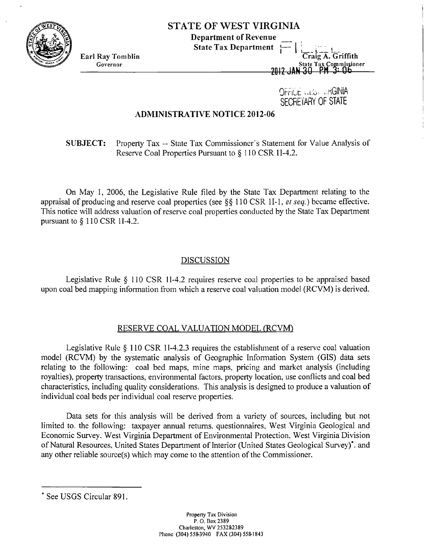

## **STATE OF WEST VIRGINIA**

**Department of Revenue**   $State Tax Department$ 

**Earl Ray Tomblin Governor** 

~F;ILL ,,LL I , KGINIA SECRETARY OF STATE

<del>2012 JAI</del>

 $\mathbf{Com}$  missioner

## **ADMINISTRATIVE NOTICE 20 12-06**

**SUBJECT:** Property Tax -- State Tax Commissioner's Statement for Value Analysis of Reserve Coal Properties Pursuant to  $\S 110 \text{CSR} 11-4.2$ .

On May 1, 2006, the Legislative Rule filed by the State Tax Department relating to the appraisal of producing and reserve coal properties (see *\$5* 110 CSR 11-1, et seq.) became effective. This notice will address valuation of reserve coal properties conducted by the State Tax Department pursuant to  $§$  110 CSR 1I-4.2.

## DISCUSSION

Legislative Rule  $\delta$  110 CSR 11-4.2 requires reserve coal properties to be appraised based upon coal bed mapping information from which a reserve coal valuation model (RCVM) is derived.

## RESERVE COAL VALUATION MODEL

Legislative Rule  $\S$  110 CSR 1I-4.2.3 requires the establishment of a reserve coal valuation model (RCVM) by the systematic analysis of Geographic Information System (GIS) data sets relating to the following: coal bed maps, mine maps, pricing and market analysis (including royalties), property transactions, environmental factors, property location, use conflicts and coal bed characteristics, including quality considerations. This analysis is designed to produce a valuation of individual coal beds per individual coal reserve properties.

Data sets for this analysis mill be derived from a variety of sources, including but not limited to. the following: taxpayer annual returns. questionnaires, West Virginia Geological and Economic Survey. West Virginia Department of Environmental Protection. West Virginia Division of Natural Resources. United States Department of Interior (United States Geological Survey)\*. and any other reliable source(s) which may come to the attention of the Commissioner.

See USGS Circular 891.